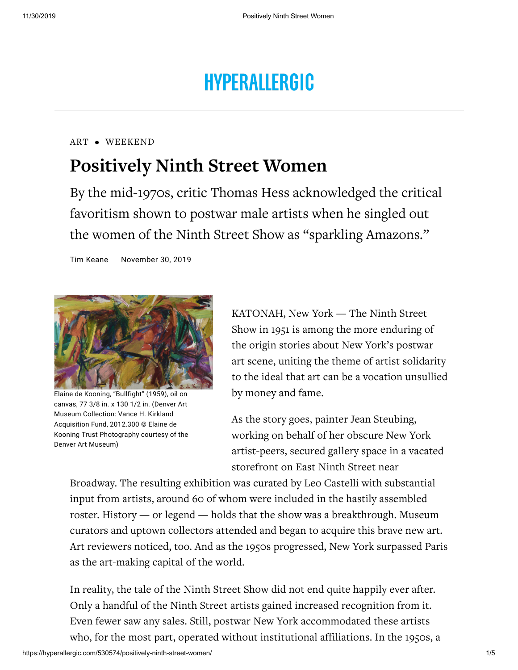# **HYPERALLERGIC**

### [ART](https://hyperallergic.com/reviews/art/) • [WEEKEND](https://hyperallergic.com/weekend/)

## **Positively Ninth Street Women**

By the mid-1970s, critic Thomas Hess acknowledged the critical favoritism shown to postwar male artists when he singled out the women of the Ninth Street Show as "sparkling Amazons."

Tim [Keane](https://hyperallergic.com/author/tim-keane/) [November](https://hyperallergic.com/date/2019/11/30/) 30, 2019



Elaine de Kooning, "Bullfight" (1959), oil on canvas, 77 3/8 in. x 130 1/2 in. (Denver Art Museum Collection: Vance H. Kirkland Acquisition Fund, 2012.300 © Elaine de Kooning Trust Photography courtesy of the Denver Art Museum)

KATONAH, New York — The Ninth Street Show in 1951 is among the more enduring of the origin stories about New York's postwar art scene, uniting the theme of artist solidarity to the ideal that art can be a vocation unsullied by money and fame.

As the story goes, painter Jean Steubing, working on behalf of her obscure New York artist-peers, secured gallery space in a vacated storefront on East Ninth Street near

Broadway. The resulting exhibition was curated by Leo Castelli with substantial input from artists, around 60 of whom were included in the hastily assembled roster. History — or legend — holds that the show was a breakthrough. Museum curators and uptown collectors attended and began to acquire this brave new art. Art reviewers noticed, too. And as the 1950s progressed, New York surpassed Paris as the art-making capital of the world.

In reality, the tale of the Ninth Street Show did not end quite happily ever after. Only a handful of the Ninth Street artists gained increased recognition from it. Even fewer saw any sales. Still, postwar New York accommodated these artists who, for the most part, operated without institutional affiliations. In the 1950s, a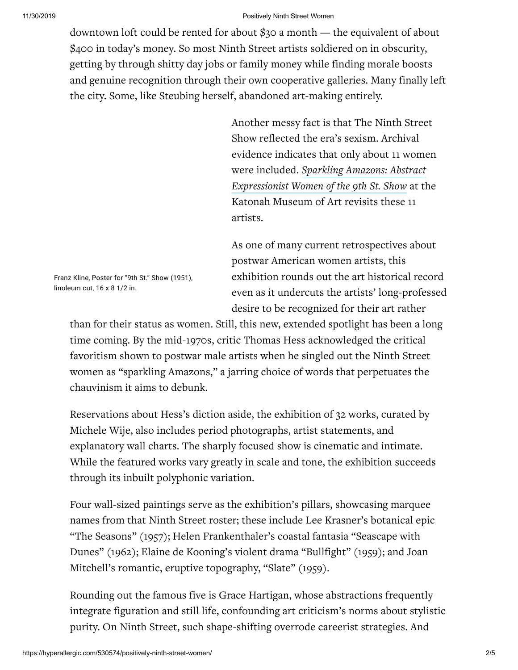downtown loft could be rented for about \$30 a month — the equivalent of about \$400 in today's money. So most Ninth Street artists soldiered on in obscurity, getting by through shitty day jobs or family money while finding morale boosts and genuine recognition through their own cooperative galleries. Many finally left the city. Some, like Steubing herself, abandoned art-making entirely.

> Another messy fact is that The Ninth Street Show reflected the era's sexism. Archival evidence indicates that only about 11 women were included. *Sparkling Amazons: Abstract [Expressionist](http://www.katonahmuseum.org/exhibitions/) Women of the 9th St. Show* at the Katonah Museum of Art revisits these 11 artists.

As one of many current retrospectives about postwar American women artists, this exhibition rounds out the art historical record even as it undercuts the artists' long-professed desire to be recognized for their art rather

than for their status as women. Still, this new, extended spotlight has been a long time coming. By the mid-1970s, critic Thomas Hess acknowledged the critical favoritism shown to postwar male artists when he singled out the Ninth Street women as "sparkling Amazons," a jarring choice of words that perpetuates the chauvinism it aims to debunk.

Reservations about Hess's diction aside, the exhibition of 32 works, curated by Michele Wije, also includes period photographs, artist statements, and explanatory wall charts. The sharply focused show is cinematic and intimate. While the featured works vary greatly in scale and tone, the exhibition succeeds through its inbuilt polyphonic variation.

Four wall-sized paintings serve as the exhibition's pillars, showcasing marquee names from that Ninth Street roster; these include Lee Krasner's botanical epic "The Seasons" (1957); Helen Frankenthaler's coastal fantasia "Seascape with Dunes" (1962); Elaine de Kooning's violent drama "Bullfight" (1959); and Joan Mitchell's romantic, eruptive topography, "Slate" (1959).

Rounding out the famous five is Grace Hartigan, whose abstractions frequently integrate figuration and still life, confounding art criticism's norms about stylistic purity. On Ninth Street, such shape-shifting overrode careerist strategies. And

Franz Kline, Poster for "9th St." Show (1951), linoleum cut, 16 x 8 1/2 in.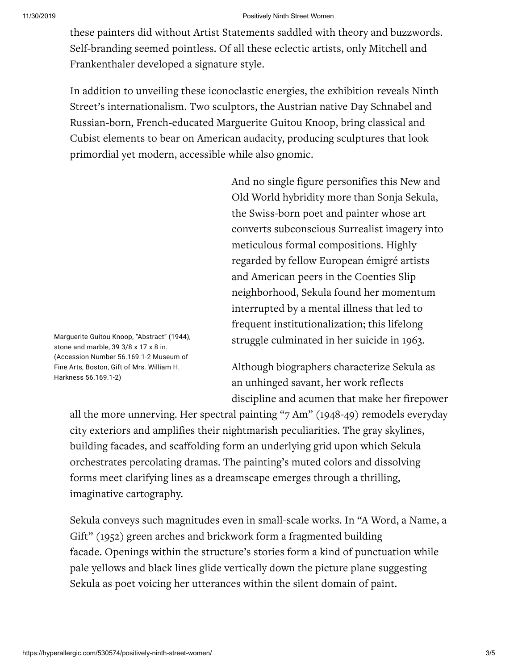these painters did without Artist Statements saddled with theory and buzzwords. Self-branding seemed pointless. Of all these eclectic artists, only Mitchell and Frankenthaler developed a signature style.

In addition to unveiling these iconoclastic energies, the exhibition reveals Ninth Street's internationalism. Two sculptors, the Austrian native Day Schnabel and Russian-born, French-educated Marguerite Guitou Knoop, bring classical and Cubist elements to bear on American audacity, producing sculptures that look primordial yet modern, accessible while also gnomic.

> And no single figure personifies this New and Old World hybridity more than Sonja Sekula, the Swiss-born poet and painter whose art converts subconscious Surrealist imagery into meticulous formal compositions. Highly regarded by fellow European émigré artists and American peers in the Coenties Slip neighborhood, Sekula found her momentum interrupted by a mental illness that led to frequent institutionalization; this lifelong struggle culminated in her suicide in 1963.

Although biographers characterize Sekula as an unhinged savant, her work reflects discipline and acumen that make her firepower

all the more unnerving. Her spectral painting "7 Am" (1948-49) remodels everyday city exteriors and amplifies their nightmarish peculiarities. The gray skylines, building facades, and scaffolding form an underlying grid upon which Sekula orchestrates percolating dramas. The painting's muted colors and dissolving forms meet clarifying lines as a dreamscape emerges through a thrilling, imaginative cartography.

Sekula conveys such magnitudes even in small-scale works. In "A Word, a Name, a Gift" (1952) green arches and brickwork form a fragmented building facade. Openings within the structure's stories form a kind of punctuation while pale yellows and black lines glide vertically down the picture plane suggesting Sekula as poet voicing her utterances within the silent domain of paint.

Marguerite Guitou Knoop, "Abstract" (1944), stone and marble, 39 3/8 x 17 x 8 in. (Accession Number 56.169.1-2 Museum of Fine Arts, Boston, Gift of Mrs. William H. Harkness 56.169.1-2)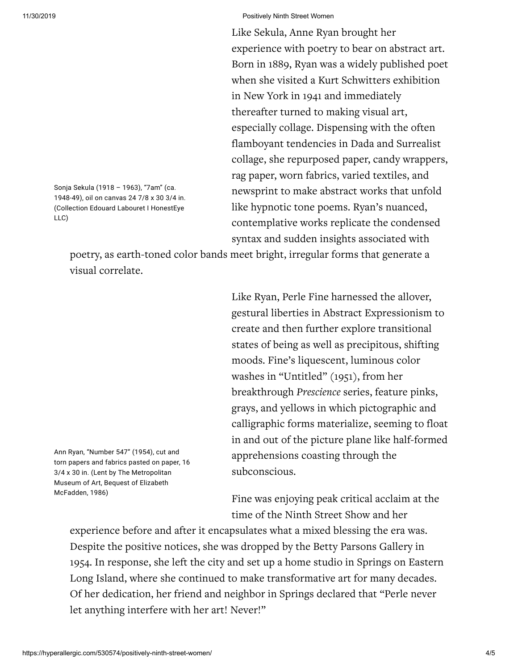Like Sekula, Anne Ryan brought her experience with poetry to bear on abstract art. Born in 1889, Ryan was a widely published poet when she visited a Kurt Schwitters exhibition in New York in 1941 and immediately thereafter turned to making visual art, especially collage. Dispensing with the often flamboyant tendencies in Dada and Surrealist collage, she repurposed paper, candy wrappers, rag paper, worn fabrics, varied textiles, and newsprint to make abstract works that unfold like hypnotic tone poems. Ryan's nuanced, contemplative works replicate the condensed syntax and sudden insights associated with

Sonja Sekula (1918 – 1963), "7am" (ca. 1948-49), oil on canvas 24 7/8 x 30 3/4 in. (Collection Edouard Labouret I HonestEye LLC)

> poetry, as earth-toned color bands meet bright, irregular forms that generate a visual correlate.

> > Like Ryan, Perle Fine harnessed the allover, gestural liberties in Abstract Expressionism to create and then further explore transitional states of being as well as precipitous, shifting moods. Fine's liquescent, luminous color washes in "Untitled" (1951), from her breakthrough *Prescience* series, feature pinks, grays, and yellows in which pictographic and calligraphic forms materialize, seeming to float in and out of the picture plane like half-formed apprehensions coasting through the subconscious.

Ann Ryan, "Number 547" (1954), cut and torn papers and fabrics pasted on paper, 16 3/4 x 30 in. (Lent by The Metropolitan Museum of Art, Bequest of Elizabeth McFadden, 1986)

Fine was enjoying peak critical acclaim at the time of the Ninth Street Show and her

experience before and after it encapsulates what a mixed blessing the era was. Despite the positive notices, she was dropped by the Betty Parsons Gallery in 1954. In response, she left the city and set up a home studio in Springs on Eastern Long Island, where she continued to make transformative art for many decades. Of her dedication, her friend and neighbor in Springs declared that "Perle never let anything interfere with her art! Never!"